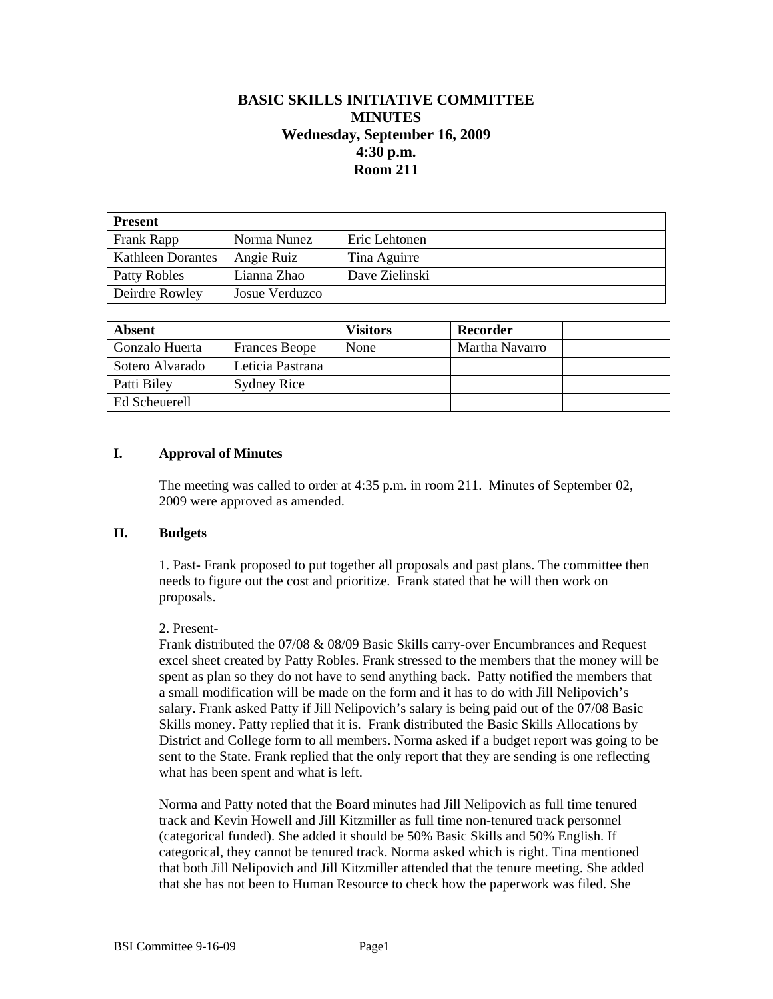# **BASIC SKILLS INITIATIVE COMMITTEE MINUTES Wednesday, September 16, 2009 4:30 p.m. Room 211**

| <b>Present</b>           |                |                |  |
|--------------------------|----------------|----------------|--|
| Frank Rapp               | Norma Nunez    | Eric Lehtonen  |  |
| <b>Kathleen Dorantes</b> | Angie Ruiz     | Tina Aguirre   |  |
| Patty Robles             | Lianna Zhao    | Dave Zielinski |  |
| Deirdre Rowley           | Josue Verduzco |                |  |

| Absent          |                      | <b>Visitors</b> | Recorder       |  |
|-----------------|----------------------|-----------------|----------------|--|
| Gonzalo Huerta  | <b>Frances Beope</b> | None            | Martha Navarro |  |
| Sotero Alvarado | Leticia Pastrana     |                 |                |  |
| Patti Biley     | <b>Sydney Rice</b>   |                 |                |  |
| Ed Scheuerell   |                      |                 |                |  |

# **I. Approval of Minutes**

The meeting was called to order at 4:35 p.m. in room 211. Minutes of September 02, 2009 were approved as amended.

### **II. Budgets**

1. Past- Frank proposed to put together all proposals and past plans. The committee then needs to figure out the cost and prioritize. Frank stated that he will then work on proposals.

# 2. Present-

Frank distributed the 07/08 & 08/09 Basic Skills carry-over Encumbrances and Request excel sheet created by Patty Robles. Frank stressed to the members that the money will be spent as plan so they do not have to send anything back. Patty notified the members that a small modification will be made on the form and it has to do with Jill Nelipovich's salary. Frank asked Patty if Jill Nelipovich's salary is being paid out of the 07/08 Basic Skills money. Patty replied that it is. Frank distributed the Basic Skills Allocations by District and College form to all members. Norma asked if a budget report was going to be sent to the State. Frank replied that the only report that they are sending is one reflecting what has been spent and what is left.

Norma and Patty noted that the Board minutes had Jill Nelipovich as full time tenured track and Kevin Howell and Jill Kitzmiller as full time non-tenured track personnel (categorical funded). She added it should be 50% Basic Skills and 50% English. If categorical, they cannot be tenured track. Norma asked which is right. Tina mentioned that both Jill Nelipovich and Jill Kitzmiller attended that the tenure meeting. She added that she has not been to Human Resource to check how the paperwork was filed. She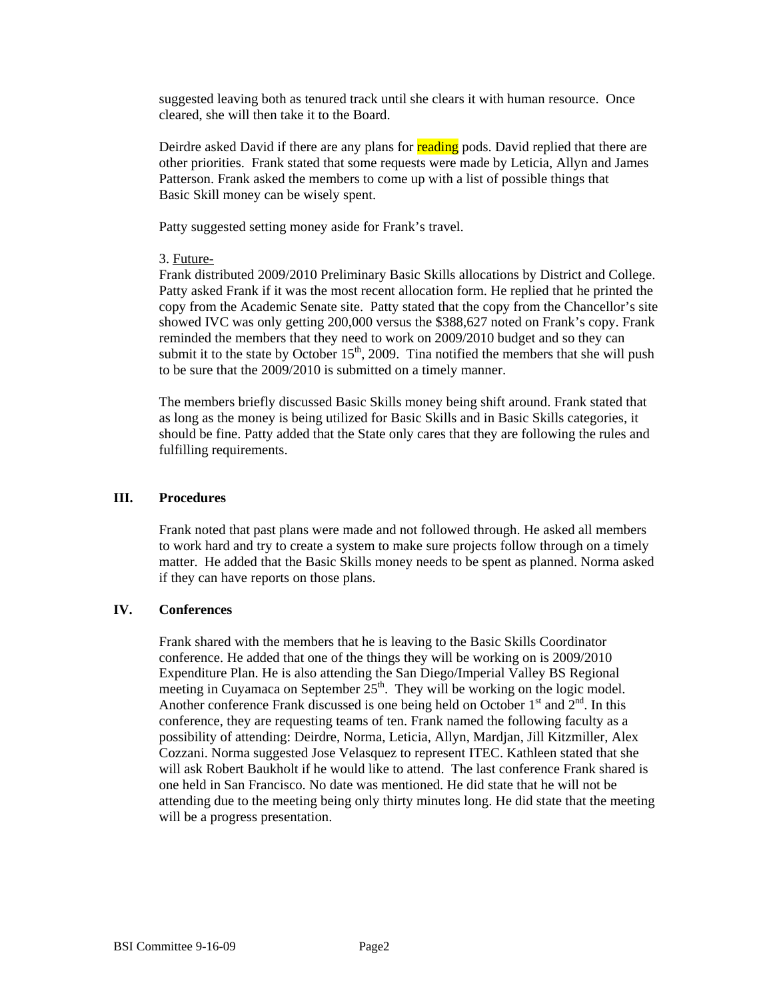suggested leaving both as tenured track until she clears it with human resource. Once cleared, she will then take it to the Board.

Deirdre asked David if there are any plans for reading pods. David replied that there are other priorities. Frank stated that some requests were made by Leticia, Allyn and James Patterson. Frank asked the members to come up with a list of possible things that Basic Skill money can be wisely spent.

Patty suggested setting money aside for Frank's travel.

## 3. Future-

Frank distributed 2009/2010 Preliminary Basic Skills allocations by District and College. Patty asked Frank if it was the most recent allocation form. He replied that he printed the copy from the Academic Senate site. Patty stated that the copy from the Chancellor's site showed IVC was only getting 200,000 versus the \$388,627 noted on Frank's copy. Frank reminded the members that they need to work on 2009/2010 budget and so they can submit it to the state by October  $15<sup>th</sup>$ , 2009. Tina notified the members that she will push to be sure that the 2009/2010 is submitted on a timely manner.

The members briefly discussed Basic Skills money being shift around. Frank stated that as long as the money is being utilized for Basic Skills and in Basic Skills categories, it should be fine. Patty added that the State only cares that they are following the rules and fulfilling requirements.

## **III. Procedures**

Frank noted that past plans were made and not followed through. He asked all members to work hard and try to create a system to make sure projects follow through on a timely matter. He added that the Basic Skills money needs to be spent as planned. Norma asked if they can have reports on those plans.

### **IV. Conferences**

Frank shared with the members that he is leaving to the Basic Skills Coordinator conference. He added that one of the things they will be working on is 2009/2010 Expenditure Plan. He is also attending the San Diego/Imperial Valley BS Regional meeting in Cuyamaca on September  $25<sup>th</sup>$ . They will be working on the logic model. Another conference Frank discussed is one being held on October  $1<sup>st</sup>$  and  $2<sup>nd</sup>$ . In this conference, they are requesting teams of ten. Frank named the following faculty as a possibility of attending: Deirdre, Norma, Leticia, Allyn, Mardjan, Jill Kitzmiller, Alex Cozzani. Norma suggested Jose Velasquez to represent ITEC. Kathleen stated that she will ask Robert Baukholt if he would like to attend. The last conference Frank shared is one held in San Francisco. No date was mentioned. He did state that he will not be attending due to the meeting being only thirty minutes long. He did state that the meeting will be a progress presentation.